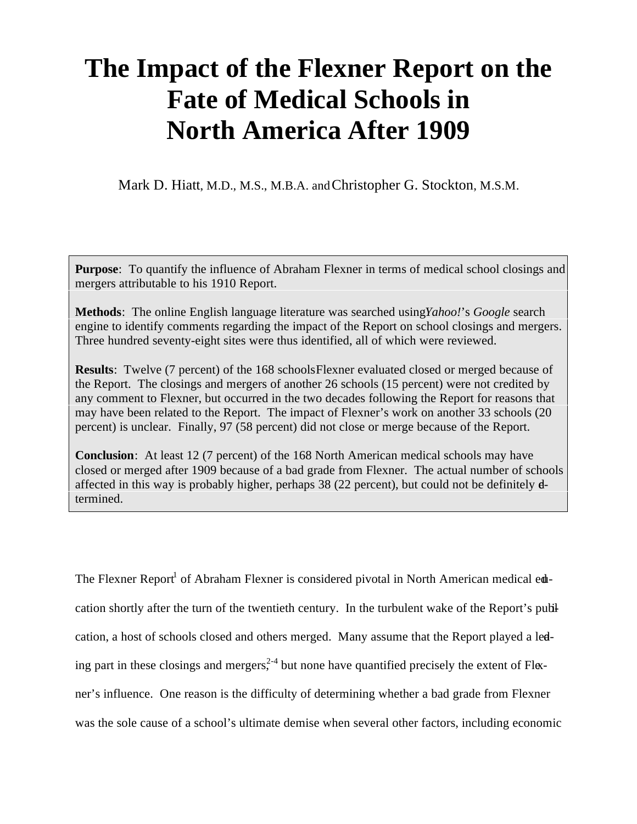# **The Impact of the Flexner Report on the Fate of Medical Schools in North America After 1909**

Mark D. Hiatt, M.D., M.S., M.B.A. and Christopher G. Stockton, M.S.M.

**Purpose**: To quantify the influence of Abraham Flexner in terms of medical school closings and mergers attributable to his 1910 Report.

**Methods**: The online English language literature was searched using *Yahoo!*'s *Google* search engine to identify comments regarding the impact of the Report on school closings and mergers. Three hundred seventy-eight sites were thus identified, all of which were reviewed.

**Results**: Twelve (7 percent) of the 168 schools Flexner evaluated closed or merged because of the Report. The closings and mergers of another 26 schools (15 percent) were not credited by any comment to Flexner, but occurred in the two decades following the Report for reasons that may have been related to the Report. The impact of Flexner's work on another 33 schools (20 percent) is unclear. Finally, 97 (58 percent) did not close or merge because of the Report.

**Conclusion**: At least 12 (7 percent) of the 168 North American medical schools may have closed or merged after 1909 because of a bad grade from Flexner. The actual number of schools affected in this way is probably higher, perhaps 38 (22 percent), but could not be definitely determined.

The Flexner Report<sup>1</sup> of Abraham Flexner is considered pivotal in North American medical edcation shortly after the turn of the twentieth century. In the turbulent wake of the Report's publication, a host of schools closed and others merged. Many assume that the Report played a leding part in these closings and mergers,<sup>2-4</sup> but none have quantified precisely the extent of Flexner's influence. One reason is the difficulty of determining whether a bad grade from Flexner was the sole cause of a school's ultimate demise when several other factors, including economic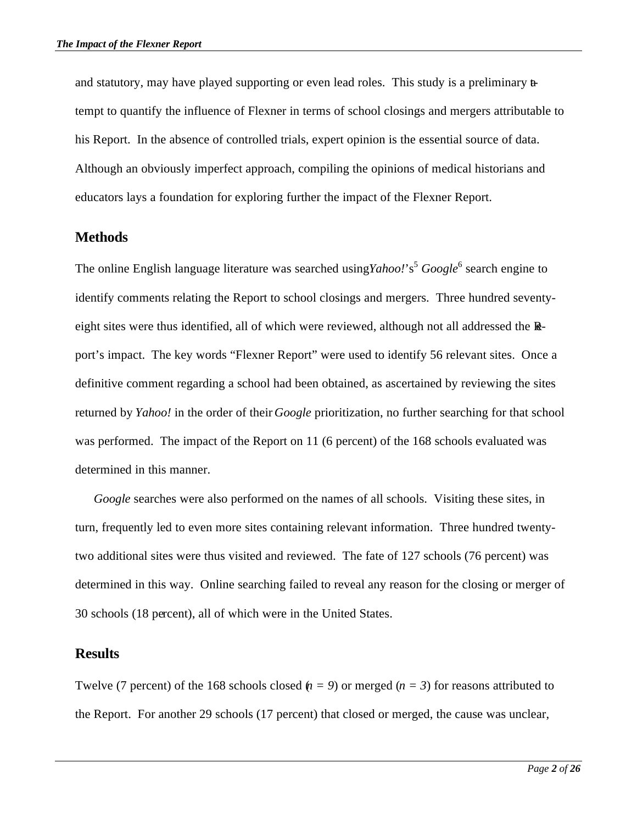and statutory, may have played supporting or even lead roles. This study is a preliminary attempt to quantify the influence of Flexner in terms of school closings and mergers attributable to his Report. In the absence of controlled trials, expert opinion is the essential source of data. Although an obviously imperfect approach, compiling the opinions of medical historians and educators lays a foundation for exploring further the impact of the Flexner Report.

### **Methods**

The online English language literature was searched using *Yahoo!*'s<sup>5</sup> *Google*<sup>6</sup> search engine to identify comments relating the Report to school closings and mergers. Three hundred seventyeight sites were thus identified, all of which were reviewed, although not all addressed the Report's impact. The key words "Flexner Report" were used to identify 56 relevant sites. Once a definitive comment regarding a school had been obtained, as ascertained by reviewing the sites returned by *Yahoo!* in the order of their *Google* prioritization, no further searching for that school was performed. The impact of the Report on 11 (6 percent) of the 168 schools evaluated was determined in this manner.

*Google* searches were also performed on the names of all schools. Visiting these sites, in turn, frequently led to even more sites containing relevant information. Three hundred twentytwo additional sites were thus visited and reviewed. The fate of 127 schools (76 percent) was determined in this way. Online searching failed to reveal any reason for the closing or merger of 30 schools (18 percent), all of which were in the United States.

### **Results**

Twelve (7 percent) of the 168 schools closed  $(n = 9)$  or merged ( $n = 3$ ) for reasons attributed to the Report. For another 29 schools (17 percent) that closed or merged, the cause was unclear,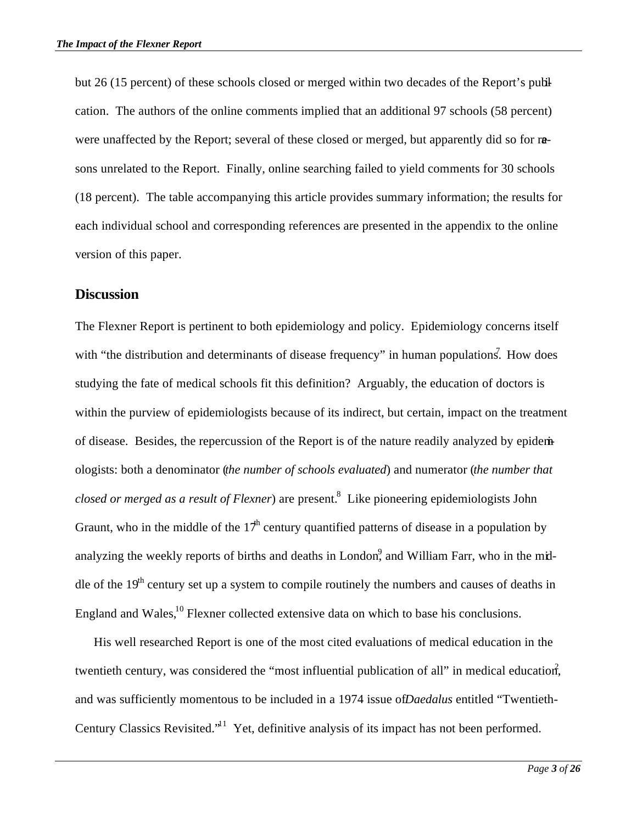but 26 (15 percent) of these schools closed or merged within two decades of the Report's publication. The authors of the online comments implied that an additional 97 schools (58 percent) were unaffected by the Report; several of these closed or merged, but apparently did so for resons unrelated to the Report. Finally, online searching failed to yield comments for 30 schools (18 percent). The table accompanying this article provides summary information; the results for each individual school and corresponding references are presented in the appendix to the online version of this paper.

### **Discussion**

The Flexner Report is pertinent to both epidemiology and policy. Epidemiology concerns itself with "the distribution and determinants of disease frequency" in human populations. How does studying the fate of medical schools fit this definition? Arguably, the education of doctors is within the purview of epidemiologists because of its indirect, but certain, impact on the treatment of disease. Besides, the repercussion of the Report is of the nature readily analyzed by epidemiologists: both a denominator (*the number of schools evaluated*) and numerator (*the number that closed or merged as a result of Flexner*) are present.<sup>8</sup> Like pioneering epidemiologists John Graunt, who in the middle of the  $17<sup>h</sup>$  century quantified patterns of disease in a population by analyzing the weekly reports of births and deaths in London, and William Farr, who in the middle of the  $19<sup>th</sup>$  century set up a system to compile routinely the numbers and causes of deaths in England and Wales, $^{10}$  Flexner collected extensive data on which to base his conclusions.

His well researched Report is one of the most cited evaluations of medical education in the twentieth century, was considered the "most influential publication of all" in medical education, and was sufficiently momentous to be included in a 1974 issue of *Daedalus* entitled "Twentieth-Century Classics Revisited.<sup>'\*1</sup> Yet, definitive analysis of its impact has not been performed.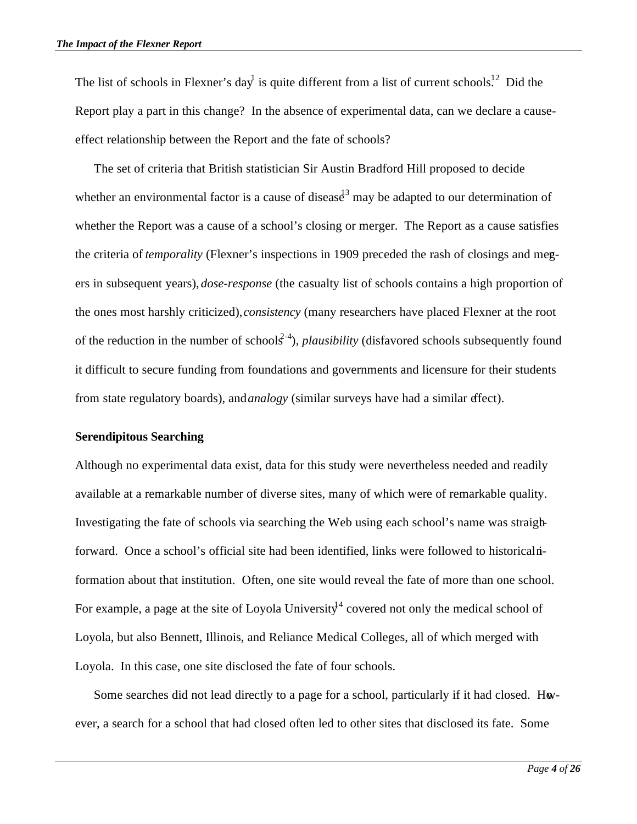The list of schools in Flexner's day is quite different from a list of current schools.<sup>12</sup> Did the Report play a part in this change? In the absence of experimental data, can we declare a causeeffect relationship between the Report and the fate of schools?

The set of criteria that British statistician Sir Austin Bradford Hill proposed to decide whether an environmental factor is a cause of disease<sup>13</sup> may be adapted to our determination of whether the Report was a cause of a school's closing or merger. The Report as a cause satisfies the criteria of *temporality* (Flexner's inspections in 1909 preceded the rash of closings and mergers in subsequent years), *dose-response* (the casualty list of schools contains a high proportion of the ones most harshly criticized), *consistency* (many researchers have placed Flexner at the root of the reduction in the number of schools<sup>2-4</sup>), *plausibility* (disfavored schools subsequently found it difficult to secure funding from foundations and governments and licensure for their students from state regulatory boards), and *analogy* (similar surveys have had a similar effect).

#### **Serendipitous Searching**

Although no experimental data exist, data for this study were nevertheless needed and readily available at a remarkable number of diverse sites, many of which were of remarkable quality. Investigating the fate of schools via searching the Web using each school's name was straighforward. Once a school's official site had been identified, links were followed to historical iformation about that institution. Often, one site would reveal the fate of more than one school. For example, a page at the site of Loyola University<sup>14</sup> covered not only the medical school of Loyola, but also Bennett, Illinois, and Reliance Medical Colleges, all of which merged with Loyola. In this case, one site disclosed the fate of four schools.

Some searches did not lead directly to a page for a school, particularly if it had closed. However, a search for a school that had closed often led to other sites that disclosed its fate. Some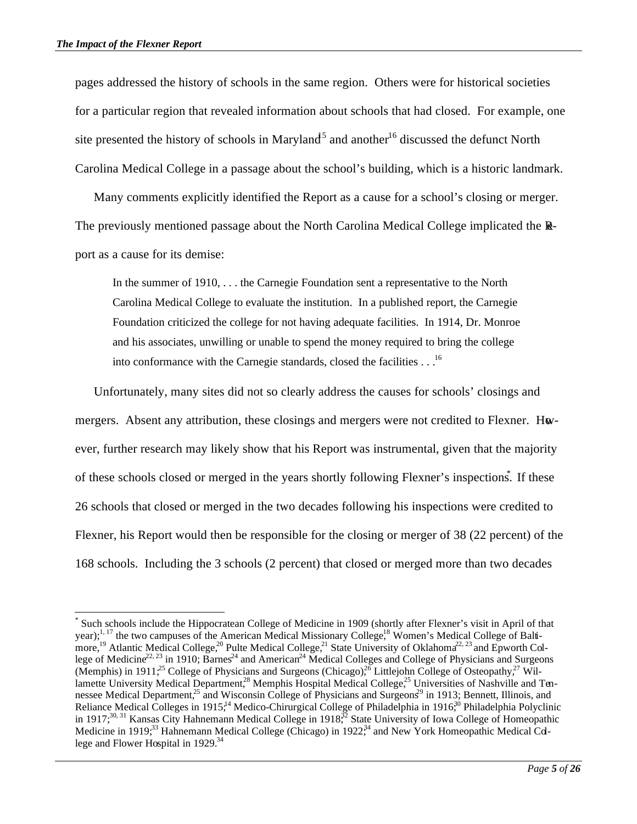j

pages addressed the history of schools in the same region. Others were for historical societies for a particular region that revealed information about schools that had closed. For example, one site presented the history of schools in Maryland<sup>5</sup> and another<sup>16</sup> discussed the defunct North Carolina Medical College in a passage about the school's building, which is a historic landmark.

Many comments explicitly identified the Report as a cause for a school's closing or merger. The previously mentioned passage about the North Carolina Medical College implicated the Report as a cause for its demise:

In the summer of 1910, . . . the Carnegie Foundation sent a representative to the North Carolina Medical College to evaluate the institution. In a published report, the Carnegie Foundation criticized the college for not having adequate facilities. In 1914, Dr. Monroe and his associates, unwilling or unable to spend the money required to bring the college into conformance with the Carnegie standards, closed the facilities . . .<sup>16</sup>

Unfortunately, many sites did not so clearly address the causes for schools' closings and mergers. Absent any attribution, these closings and mergers were not credited to Flexner. However, further research may likely show that his Report was instrumental, given that the majority of these schools closed or merged in the years shortly following Flexner's inspections. If these 26 schools that closed or merged in the two decades following his inspections were credited to Flexner, his Report would then be responsible for the closing or merger of 38 (22 percent) of the 168 schools. Including the 3 schools (2 percent) that closed or merged more than two decades

<sup>\*</sup> Such schools include the Hippocratean College of Medicine in 1909 (shortly after Flexner's visit in April of that year);<sup>1, 17</sup> the two campuses of the American Medical Missionary College,<sup>18</sup> Women's Medical College of Baltimore,<sup>19</sup> Atlantic Medical College,<sup>20</sup> Pulte Medical College,<sup>21</sup> State University of Oklahoma<sup>22, 23</sup> and Epworth College of Medicine<sup>22, 23</sup> in 1910; Barnes<sup>24</sup> and American<sup>24</sup> Medical Colleges and College of Physicians and Surgeons (Memphis) in 1911;<sup>25</sup> College of Physicians and Surgeons (Chicago),<sup>26</sup> Littlejohn College of Osteopathy,<sup>27</sup> Willamette University Medical Department,<sup>28</sup> Memphis Hospital Medical College,<sup>25</sup> Universities of Nashville and Tennessee Medical Department,<sup>25</sup> and Wisconsin College of Physicians and Surgeons<sup>29</sup> in 1913; Bennett, Illinois, and Reliance Medical Colleges in 1915;<sup>14</sup> Medico-Chirurgical College of Philadelphia in 1916;<sup>30</sup> Philadelphia Polyclinic in 1917;<sup>30, 31</sup> Kansas City Hahnemann Medical College in 1918;<sup>32</sup> State University of Iowa College of Homeopathic Medicine in 1919;<sup>33</sup> Hahnemann Medical College (Chicago) in 1922;<sup>34</sup> and New York Homeopathic Medical Cdlege and Flower Hospital in 1929.<sup>34</sup>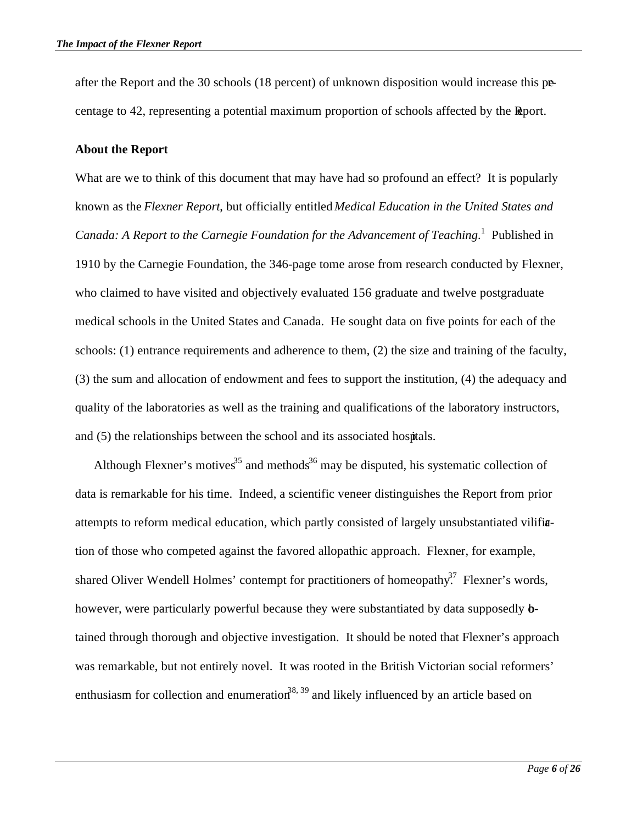after the Report and the 30 schools (18 percent) of unknown disposition would increase this percentage to 42, representing a potential maximum proportion of schools affected by the Report.

#### **About the Report**

What are we to think of this document that may have had so profound an effect? It is popularly known as the *Flexner Report*, but officially entitled *Medical Education in the United States and Canada: A Report to the Carnegie Foundation for the Advancement of Teaching*. 1 Published in 1910 by the Carnegie Foundation, the 346-page tome arose from research conducted by Flexner, who claimed to have visited and objectively evaluated 156 graduate and twelve postgraduate medical schools in the United States and Canada. He sought data on five points for each of the schools: (1) entrance requirements and adherence to them, (2) the size and training of the faculty, (3) the sum and allocation of endowment and fees to support the institution, (4) the adequacy and quality of the laboratories as well as the training and qualifications of the laboratory instructors, and (5) the relationships between the school and its associated hospitals.

Although Flexner's motives<sup>35</sup> and methods<sup>36</sup> may be disputed, his systematic collection of data is remarkable for his time. Indeed, a scientific veneer distinguishes the Report from prior attempts to reform medical education, which partly consisted of largely unsubstantiated vilification of those who competed against the favored allopathic approach. Flexner, for example, shared Oliver Wendell Holmes' contempt for practitioners of homeopathy<sup>37</sup> Flexner's words, however, were particularly powerful because they were substantiated by data supposedly **b**tained through thorough and objective investigation. It should be noted that Flexner's approach was remarkable, but not entirely novel. It was rooted in the British Victorian social reformers' enthusiasm for collection and enumeration<sup>38, 39</sup> and likely influenced by an article based on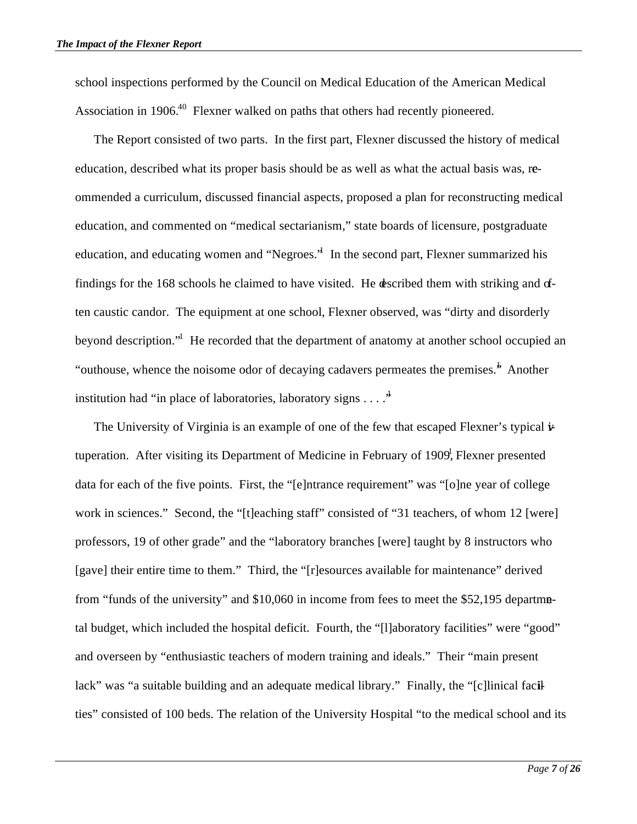school inspections performed by the Council on Medical Education of the American Medical Association in 1906.<sup>40</sup> Flexner walked on paths that others had recently pioneered.

The Report consisted of two parts. In the first part, Flexner discussed the history of medical education, described what its proper basis should be as well as what the actual basis was, reommended a curriculum, discussed financial aspects, proposed a plan for reconstructing medical education, and commented on "medical sectarianism," state boards of licensure, postgraduate education, and educating women and "Negroes." In the second part, Flexner summarized his findings for the 168 schools he claimed to have visited. He described them with striking and often caustic candor. The equipment at one school, Flexner observed, was "dirty and disorderly beyond description."<sup>1</sup> He recorded that the department of anatomy at another school occupied an "outhouse, whence the noisome odor of decaying cadavers permeates the premises.<sup>4</sup> Another institution had "in place of laboratories, laboratory signs  $\dots$ "

The University of Virginia is an example of one of the few that escaped Flexner's typical  $\dot{\mathbf{r}}$ tuperation. After visiting its Department of Medicine in February of 1909<sup>1</sup>, Flexner presented data for each of the five points. First, the "[e]ntrance requirement" was "[o]ne year of college work in sciences." Second, the "[t]eaching staff" consisted of "31 teachers, of whom 12 [were] professors, 19 of other grade" and the "laboratory branches [were] taught by 8 instructors who [gave] their entire time to them." Third, the "[r]esources available for maintenance" derived from "funds of the university" and \$10,060 in income from fees to meet the \$52,195 departmetal budget, which included the hospital deficit. Fourth, the "[l]aboratory facilities" were "good" and overseen by "enthusiastic teachers of modern training and ideals." Their "main present lack" was "a suitable building and an adequate medical library." Finally, the "[c]linical facilties" consisted of 100 beds. The relation of the University Hospital "to the medical school and its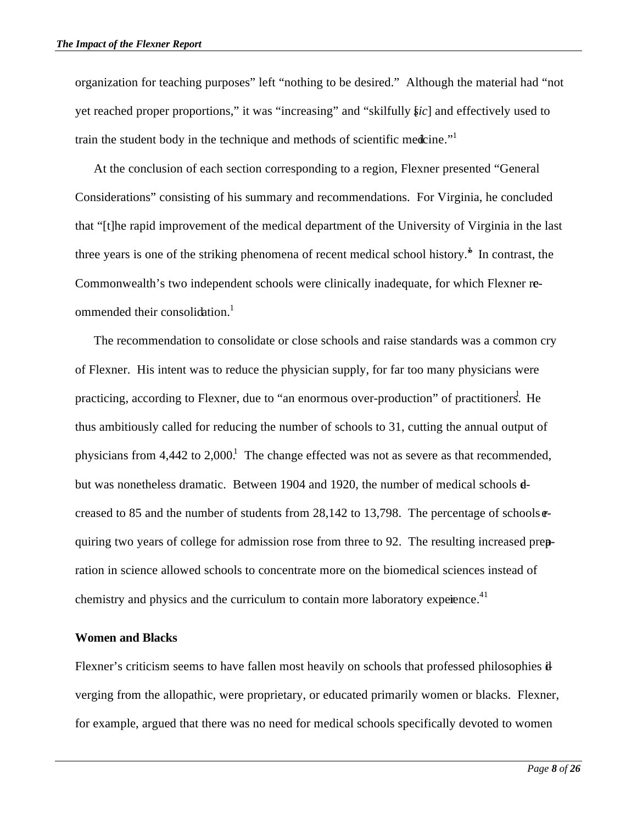organization for teaching purposes" left "nothing to be desired." Although the material had "not yet reached proper proportions," it was "increasing" and "skilfully [*sic*] and effectively used to train the student body in the technique and methods of scientific medcine."

At the conclusion of each section corresponding to a region, Flexner presented "General Considerations" consisting of his summary and recommendations. For Virginia, he concluded that "[t]he rapid improvement of the medical department of the University of Virginia in the last three years is one of the striking phenomena of recent medical school history. $\frac{1}{n}$  In contrast, the Commonwealth's two independent schools were clinically inadequate, for which Flexner reommended their consolidation.<sup>1</sup>

The recommendation to consolidate or close schools and raise standards was a common cry of Flexner. His intent was to reduce the physician supply, for far too many physicians were practicing, according to Flexner, due to "an enormous over-production" of practitioners. He thus ambitiously called for reducing the number of schools to 31, cutting the annual output of physicians from 4,442 to 2,000.<sup>1</sup> The change effected was not as severe as that recommended, but was nonetheless dramatic. Between 1904 and 1920, the number of medical schools decreased to 85 and the number of students from 28,142 to 13,798. The percentage of schools  $\sigma$ quiring two years of college for admission rose from three to 92. The resulting increased prepration in science allowed schools to concentrate more on the biomedical sciences instead of chemistry and physics and the curriculum to contain more laboratory experience.<sup>41</sup>

#### **Women and Blacks**

Flexner's criticism seems to have fallen most heavily on schools that professed philosophies  $\ddot{d}$ verging from the allopathic, were proprietary, or educated primarily women or blacks. Flexner, for example, argued that there was no need for medical schools specifically devoted to women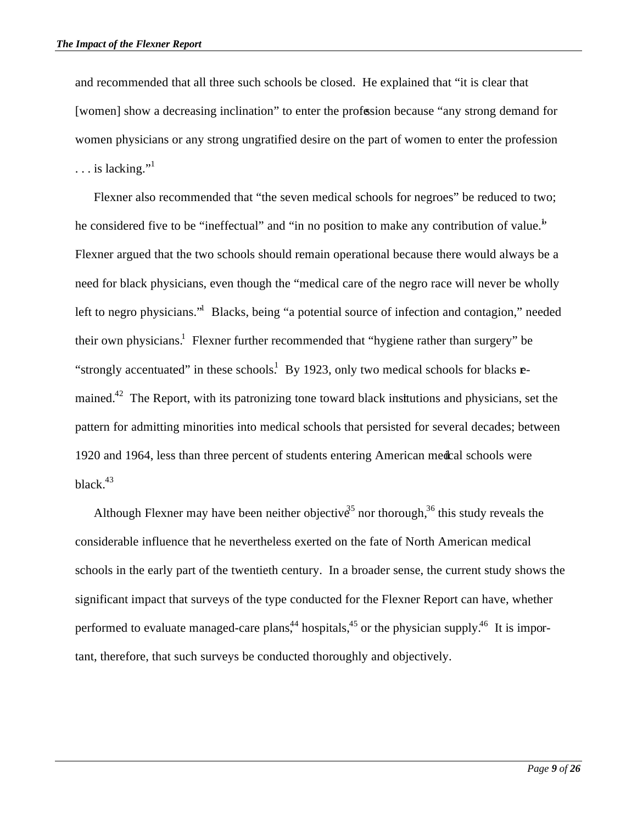and recommended that all three such schools be closed. He explained that "it is clear that [women] show a decreasing inclination" to enter the profession because "any strong demand for women physicians or any strong ungratified desire on the part of women to enter the profession  $\ldots$  is lacking."<sup>1</sup>

Flexner also recommended that "the seven medical schools for negroes" be reduced to two; he considered five to be "ineffectual" and "in no position to make any contribution of value.<sup>1</sup> Flexner argued that the two schools should remain operational because there would always be a need for black physicians, even though the "medical care of the negro race will never be wholly left to negro physicians." Blacks, being "a potential source of infection and contagion," needed their own physicians.<sup>1</sup> Flexner further recommended that "hygiene rather than surgery" be "strongly accentuated" in these schools.<sup>1</sup> By 1923, only two medical schools for blacks  $\mathbf{e}$ mained.<sup>42</sup> The Report, with its patronizing tone toward black institutions and physicians, set the pattern for admitting minorities into medical schools that persisted for several decades; between 1920 and 1964, less than three percent of students entering American medical schools were black. $43$ 

Although Flexner may have been neither objective<sup>35</sup> nor thorough,<sup>36</sup> this study reveals the considerable influence that he nevertheless exerted on the fate of North American medical schools in the early part of the twentieth century. In a broader sense, the current study shows the significant impact that surveys of the type conducted for the Flexner Report can have, whether performed to evaluate managed-care plans,<sup>44</sup> hospitals,<sup>45</sup> or the physician supply.<sup>46</sup> It is important, therefore, that such surveys be conducted thoroughly and objectively.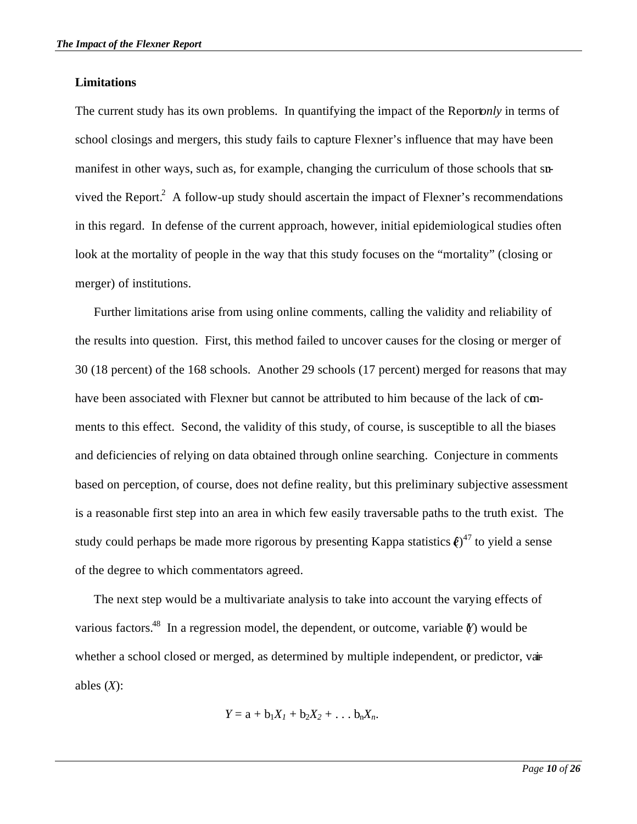#### **Limitations**

The current study has its own problems. In quantifying the impact of the Report*only* in terms of school closings and mergers, this study fails to capture Flexner's influence that may have been manifest in other ways, such as, for example, changing the curriculum of those schools that survived the Report.<sup>2</sup> A follow-up study should ascertain the impact of Flexner's recommendations in this regard. In defense of the current approach, however, initial epidemiological studies often look at the mortality of people in the way that this study focuses on the "mortality" (closing or merger) of institutions.

Further limitations arise from using online comments, calling the validity and reliability of the results into question. First, this method failed to uncover causes for the closing or merger of 30 (18 percent) of the 168 schools. Another 29 schools (17 percent) merged for reasons that may have been associated with Flexner but cannot be attributed to him because of the lack of comments to this effect. Second, the validity of this study, of course, is susceptible to all the biases and deficiencies of relying on data obtained through online searching. Conjecture in comments based on perception, of course, does not define reality, but this preliminary subjective assessment is a reasonable first step into an area in which few easily traversable paths to the truth exist. The study could perhaps be made more rigorous by presenting Kappa statistics  $\ell^{2}$  to yield a sense of the degree to which commentators agreed.

The next step would be a multivariate analysis to take into account the varying effects of various factors.<sup>48</sup> In a regression model, the dependent, or outcome, variable  $\chi$ ) would be whether a school closed or merged, as determined by multiple independent, or predictor, vairables (*X*):

$$
Y=a+b_1X_1+b_2X_2+\ldots+b_nX_n.
$$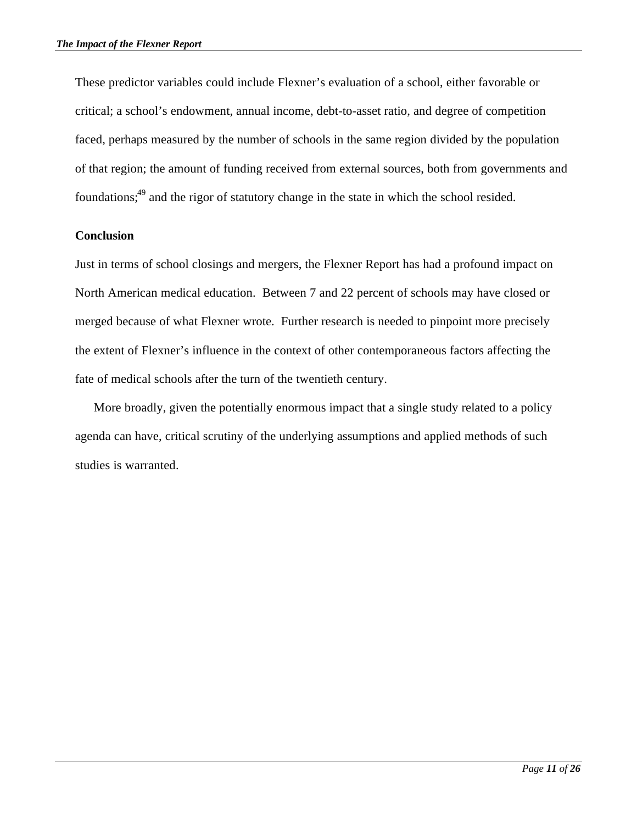These predictor variables could include Flexner's evaluation of a school, either favorable or critical; a school's endowment, annual income, debt-to-asset ratio, and degree of competition faced, perhaps measured by the number of schools in the same region divided by the population of that region; the amount of funding received from external sources, both from governments and foundations;<sup>49</sup> and the rigor of statutory change in the state in which the school resided.

#### **Conclusion**

Just in terms of school closings and mergers, the Flexner Report has had a profound impact on North American medical education. Between 7 and 22 percent of schools may have closed or merged because of what Flexner wrote. Further research is needed to pinpoint more precisely the extent of Flexner's influence in the context of other contemporaneous factors affecting the fate of medical schools after the turn of the twentieth century.

More broadly, given the potentially enormous impact that a single study related to a policy agenda can have, critical scrutiny of the underlying assumptions and applied methods of such studies is warranted.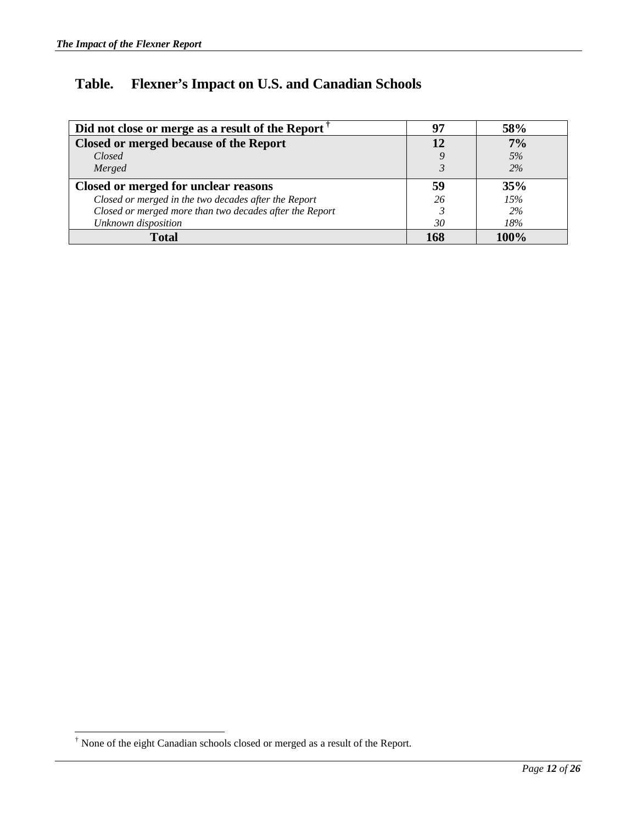### **Table. Flexner's Impact on U.S. and Canadian Schools**

| Did not close or merge as a result of the Report $\bar{r}$ |     | 58%  |
|------------------------------------------------------------|-----|------|
| Closed or merged because of the Report                     | 12  | 7%   |
| Closed                                                     |     | 5%   |
| Merged                                                     |     | 2%   |
| Closed or merged for unclear reasons                       | 59  | 35%  |
| Closed or merged in the two decades after the Report       | 26  | 15%  |
| Closed or merged more than two decades after the Report    |     | 2%   |
| Unknown disposition                                        | 30  | 18%  |
| Total                                                      | 168 | 100% |

-

<sup>†</sup> None of the eight Canadian schools closed or merged as a result of the Report.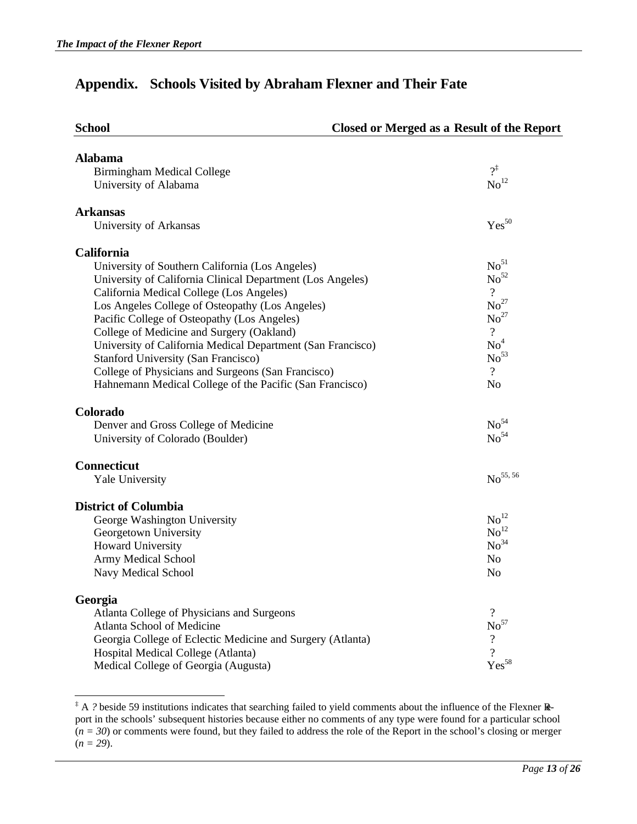| <b>School</b>                                               | Closed or Merged as a Result of the Report |
|-------------------------------------------------------------|--------------------------------------------|
| <b>Alabama</b>                                              |                                            |
| <b>Birmingham Medical College</b>                           | $2^{\ddagger}$                             |
| University of Alabama                                       | $\mathrm{No}^{12}$                         |
| <b>Arkansas</b>                                             |                                            |
| University of Arkansas                                      | $Yes^{50}$                                 |
| California                                                  |                                            |
| University of Southern California (Los Angeles)             | $\mathrm{No}^{51}$                         |
| University of California Clinical Department (Los Angeles)  | No <sup>52</sup>                           |
| California Medical College (Los Angeles)                    | $\overline{?}$                             |
| Los Angeles College of Osteopathy (Los Angeles)             | $\mathrm{No}^{27}$                         |
| Pacific College of Osteopathy (Los Angeles)                 | No <sup>27</sup>                           |
| College of Medicine and Surgery (Oakland)                   | $\overline{?}$                             |
| University of California Medical Department (San Francisco) | No <sup>4</sup>                            |
| Stanford University (San Francisco)                         | No <sup>53</sup>                           |
| College of Physicians and Surgeons (San Francisco)          | $\overline{?}$                             |
| Hahnemann Medical College of the Pacific (San Francisco)    | N <sub>o</sub>                             |
| Colorado                                                    |                                            |
| Denver and Gross College of Medicine                        | No <sup>54</sup>                           |
| University of Colorado (Boulder)                            | No <sup>54</sup>                           |
| <b>Connecticut</b>                                          |                                            |
| Yale University                                             | $\mathrm{No}^{55,\,56}$                    |
| <b>District of Columbia</b>                                 |                                            |
| George Washington University                                | $\mathrm{No}^{12}$                         |
| Georgetown University                                       | $\mathrm{No}^{12}$                         |
| Howard University                                           | No <sup>34</sup>                           |
| Army Medical School                                         | N <sub>o</sub>                             |
| Navy Medical School                                         | No                                         |
| Georgia                                                     |                                            |
| Atlanta College of Physicians and Surgeons                  | ?                                          |
| Atlanta School of Medicine                                  | No <sup>57</sup>                           |
| Georgia College of Eclectic Medicine and Surgery (Atlanta)  | $\boldsymbol{?}$                           |
| Hospital Medical College (Atlanta)                          | $\overline{?}$                             |
| Medical College of Georgia (Augusta)                        | $Yes^{58}$                                 |

<sup>‡</sup> A *?* beside 59 institutions indicates that searching failed to yield comments about the influence of the Flexner Report in the schools' subsequent histories because either no comments of any type were found for a particular school  $(n = 30)$  or comments were found, but they failed to address the role of the Report in the school's closing or merger (*n = 29*).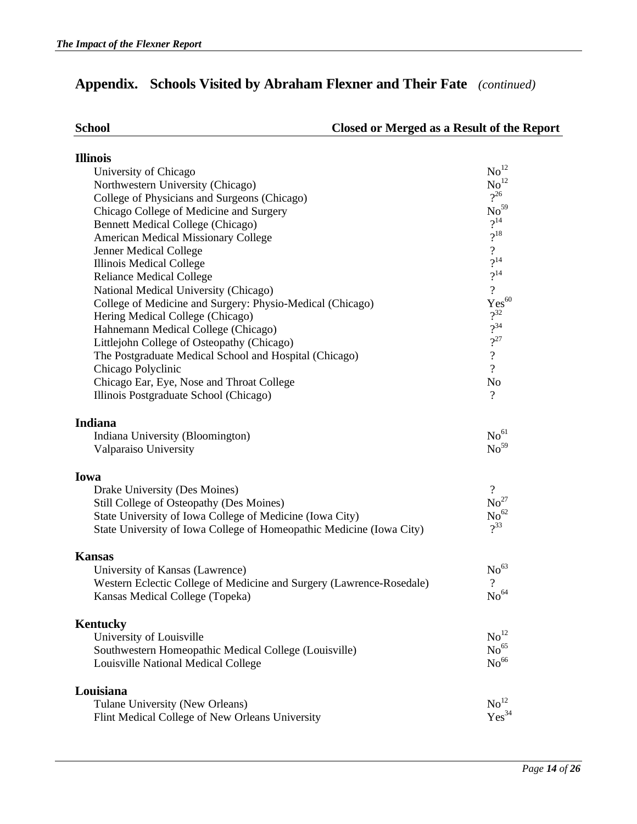| <b>School</b>                                                        | Closed or Merged as a Result of the Report |
|----------------------------------------------------------------------|--------------------------------------------|
| <b>Illinois</b>                                                      |                                            |
| University of Chicago                                                | No <sup>12</sup>                           |
| Northwestern University (Chicago)                                    | No <sup>12</sup>                           |
| College of Physicians and Surgeons (Chicago)                         | $2^{26}$                                   |
| Chicago College of Medicine and Surgery                              | No <sup>59</sup>                           |
| <b>Bennett Medical College (Chicago)</b>                             | $2^{14}$                                   |
| <b>American Medical Missionary College</b>                           | $2^{18}$                                   |
| Jenner Medical College                                               | $\overline{\mathcal{L}}$                   |
| Illinois Medical College                                             | $2^{14}$                                   |
| <b>Reliance Medical College</b>                                      | $2^{14}$                                   |
| National Medical University (Chicago)                                | $\gamma$                                   |
| College of Medicine and Surgery: Physio-Medical (Chicago)            | $Yes^{60}$                                 |
| Hering Medical College (Chicago)                                     | $2^{32}$                                   |
| Hahnemann Medical College (Chicago)                                  | $2^{34}$                                   |
| Littlejohn College of Osteopathy (Chicago)                           | $2^{27}$                                   |
| The Postgraduate Medical School and Hospital (Chicago)               | $\overline{\mathcal{L}}$                   |
| Chicago Polyclinic                                                   | $\gamma$                                   |
| Chicago Ear, Eye, Nose and Throat College                            | N <sub>o</sub>                             |
| Illinois Postgraduate School (Chicago)                               | $\gamma$                                   |
| Indiana                                                              |                                            |
| Indiana University (Bloomington)                                     | No <sup>61</sup>                           |
| Valparaiso University                                                | No <sup>59</sup>                           |
| Iowa                                                                 |                                            |
| Drake University (Des Moines)                                        | $\gamma$                                   |
| Still College of Osteopathy (Des Moines)                             | No <sup>27</sup>                           |
| State University of Iowa College of Medicine (Iowa City)             | No <sup>62</sup>                           |
| State University of Iowa College of Homeopathic Medicine (Iowa City) | $2^{33}$                                   |
| <b>Kansas</b>                                                        |                                            |
| University of Kansas (Lawrence)                                      | No <sup>63</sup>                           |
| Western Eclectic College of Medicine and Surgery (Lawrence-Rosedale) | $\boldsymbol{\mathcal{C}}$                 |
| Kansas Medical College (Topeka)                                      | $\mathrm{No}^{64}$                         |
| <b>Kentucky</b>                                                      |                                            |
| University of Louisville                                             | $\mathrm{No}^{12}$                         |
| Southwestern Homeopathic Medical College (Louisville)                | No <sup>65</sup>                           |
| Louisville National Medical College                                  | No <sup>66</sup>                           |
| Louisiana                                                            |                                            |
| Tulane University (New Orleans)                                      | No <sup>12</sup>                           |
| Flint Medical College of New Orleans University                      | $Yes^{34}$                                 |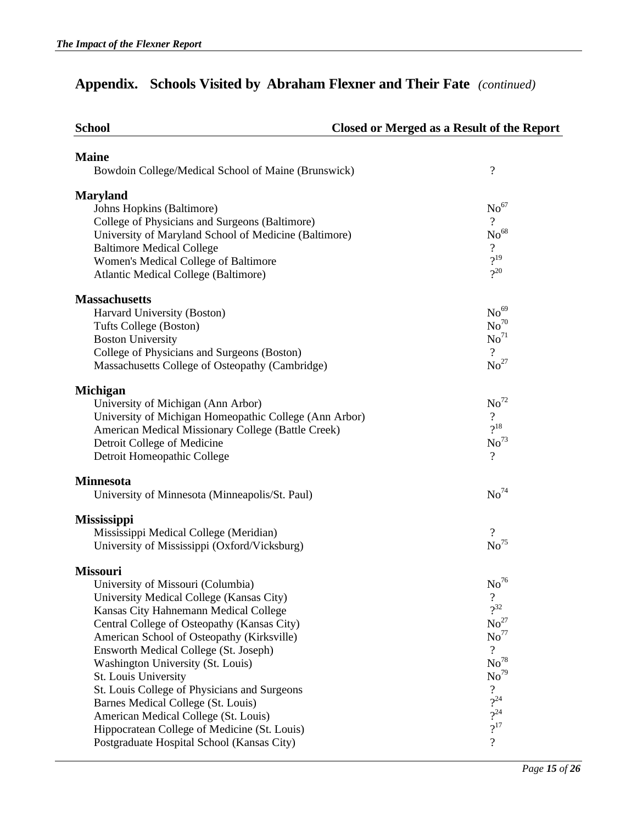| <b>School</b>                                          | <b>Closed or Merged as a Result of the Report</b> |
|--------------------------------------------------------|---------------------------------------------------|
| <b>Maine</b>                                           |                                                   |
| Bowdoin College/Medical School of Maine (Brunswick)    | $\overline{\cdot}$                                |
| <b>Maryland</b>                                        |                                                   |
| Johns Hopkins (Baltimore)                              | $\mathrm{No}^{67}$                                |
| College of Physicians and Surgeons (Baltimore)         | $\overline{?}$                                    |
| University of Maryland School of Medicine (Baltimore)  | $\mathrm{No}^{68}$                                |
| <b>Baltimore Medical College</b>                       | $\overline{\mathcal{L}}$                          |
| Women's Medical College of Baltimore                   | $2^{19}$                                          |
| <b>Atlantic Medical College (Baltimore)</b>            | $2^{20}$                                          |
| <b>Massachusetts</b>                                   |                                                   |
| Harvard University (Boston)                            | $No^{69}$                                         |
| Tufts College (Boston)                                 | No <sup>70</sup>                                  |
| <b>Boston University</b>                               | $\mathrm{No}^{71}$                                |
| College of Physicians and Surgeons (Boston)            | $\gamma$                                          |
| Massachusetts College of Osteopathy (Cambridge)        | $\mathrm{No}^{27}$                                |
| <b>Michigan</b>                                        |                                                   |
| University of Michigan (Ann Arbor)                     | No <sup>72</sup>                                  |
| University of Michigan Homeopathic College (Ann Arbor) | $\overline{?}$                                    |
| American Medical Missionary College (Battle Creek)     | $2^{18}$                                          |
| Detroit College of Medicine                            | No <sup>73</sup>                                  |
| Detroit Homeopathic College                            | $\overline{?}$                                    |
| <b>Minnesota</b>                                       |                                                   |
| University of Minnesota (Minneapolis/St. Paul)         | No <sup>74</sup>                                  |
| <b>Mississippi</b>                                     |                                                   |
| Mississippi Medical College (Meridian)                 | 9                                                 |
| University of Mississippi (Oxford/Vicksburg)           | No <sup>75</sup>                                  |
| <b>Missouri</b>                                        |                                                   |
| University of Missouri (Columbia)                      | $\mathrm{No}^{76}$                                |
| University Medical College (Kansas City)               | $\boldsymbol{?}$                                  |
| Kansas City Hahnemann Medical College                  | $2^{32}$                                          |
| Central College of Osteopathy (Kansas City)            | No <sup>27</sup>                                  |
| American School of Osteopathy (Kirksville)             | No <sup>77</sup>                                  |
| Ensworth Medical College (St. Joseph)                  | $\overline{?}$                                    |
| Washington University (St. Louis)                      | $\mathrm{No}^{78}$                                |
| St. Louis University                                   | No <sup>79</sup>                                  |
| St. Louis College of Physicians and Surgeons           | $\overline{?}$<br>$2^2$                           |
| Barnes Medical College (St. Louis)                     | $\gamma^{24}$                                     |
| American Medical College (St. Louis)                   | $2^{17}$                                          |
| Hippocratean College of Medicine (St. Louis)           | $\overline{?}$                                    |
| Postgraduate Hospital School (Kansas City)             |                                                   |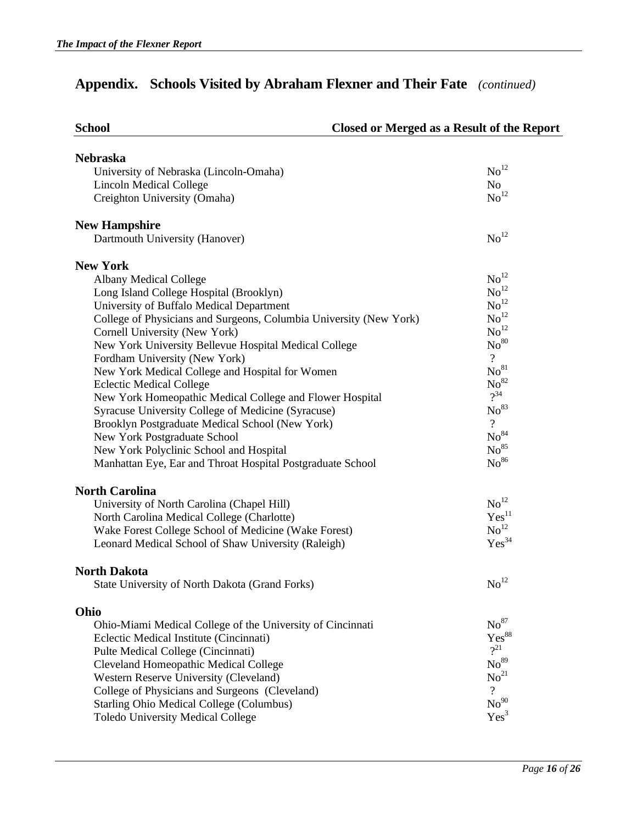| <b>School</b>                                                                                         | <b>Closed or Merged as a Result of the Report</b> |
|-------------------------------------------------------------------------------------------------------|---------------------------------------------------|
| <b>Nebraska</b>                                                                                       |                                                   |
| University of Nebraska (Lincoln-Omaha)                                                                | No <sup>12</sup>                                  |
| <b>Lincoln Medical College</b>                                                                        | N <sub>o</sub>                                    |
| Creighton University (Omaha)                                                                          | $\mathrm{No}^{12}$                                |
| <b>New Hampshire</b>                                                                                  |                                                   |
| Dartmouth University (Hanover)                                                                        | $\mathrm{No}^{12}$                                |
| <b>New York</b>                                                                                       |                                                   |
| <b>Albany Medical College</b>                                                                         | $\mathrm{No}^{12}$                                |
| Long Island College Hospital (Brooklyn)                                                               | $\mathrm{No}^{12}$                                |
| University of Buffalo Medical Department                                                              | $\mathrm{No}^{12}$                                |
| College of Physicians and Surgeons, Columbia University (New York)                                    | $\mathrm{No}^{12}$                                |
| Cornell University (New York)                                                                         | $\mathrm{No}^{12}$                                |
| New York University Bellevue Hospital Medical College                                                 | $No^{80}$                                         |
| Fordham University (New York)                                                                         | $\overline{?}$                                    |
| New York Medical College and Hospital for Women                                                       | $\mathrm{No}^{81}$                                |
| <b>Eclectic Medical College</b>                                                                       | No <sup>82</sup><br>$\gamma^{34}$                 |
| New York Homeopathic Medical College and Flower Hospital                                              | No <sup>83</sup>                                  |
| Syracuse University College of Medicine (Syracuse)<br>Brooklyn Postgraduate Medical School (New York) | $\overline{?}$                                    |
| New York Postgraduate School                                                                          | $\mathrm{No}^{84}$                                |
| New York Polyclinic School and Hospital                                                               | No <sup>85</sup>                                  |
| Manhattan Eye, Ear and Throat Hospital Postgraduate School                                            | No <sup>86</sup>                                  |
| <b>North Carolina</b>                                                                                 |                                                   |
| University of North Carolina (Chapel Hill)                                                            | $\mathrm{No}^{12}$                                |
| North Carolina Medical College (Charlotte)                                                            | Yes <sup>11</sup>                                 |
| Wake Forest College School of Medicine (Wake Forest)                                                  | $\mathrm{No}^{12}$                                |
| Leonard Medical School of Shaw University (Raleigh)                                                   | $Yes^{34}$                                        |
| <b>North Dakota</b>                                                                                   |                                                   |
| State University of North Dakota (Grand Forks)                                                        | $\mathrm{No}^{12}$                                |
| Ohio                                                                                                  |                                                   |
| Ohio-Miami Medical College of the University of Cincinnati                                            | $\mathrm{No}^{87}$                                |
| Eclectic Medical Institute (Cincinnati)                                                               | $Yes^{88}$                                        |
| Pulte Medical College (Cincinnati)                                                                    | $2^{21}$                                          |
| Cleveland Homeopathic Medical College                                                                 | $\mathrm{No}^{89}$                                |
| Western Reserve University (Cleveland)                                                                | $\mathrm{No}^{21}$                                |
| College of Physicians and Surgeons (Cleveland)                                                        | $\overline{?}$                                    |
| <b>Starling Ohio Medical College (Columbus)</b>                                                       | $No^{90}$                                         |
| <b>Toledo University Medical College</b>                                                              | Yes <sup>3</sup>                                  |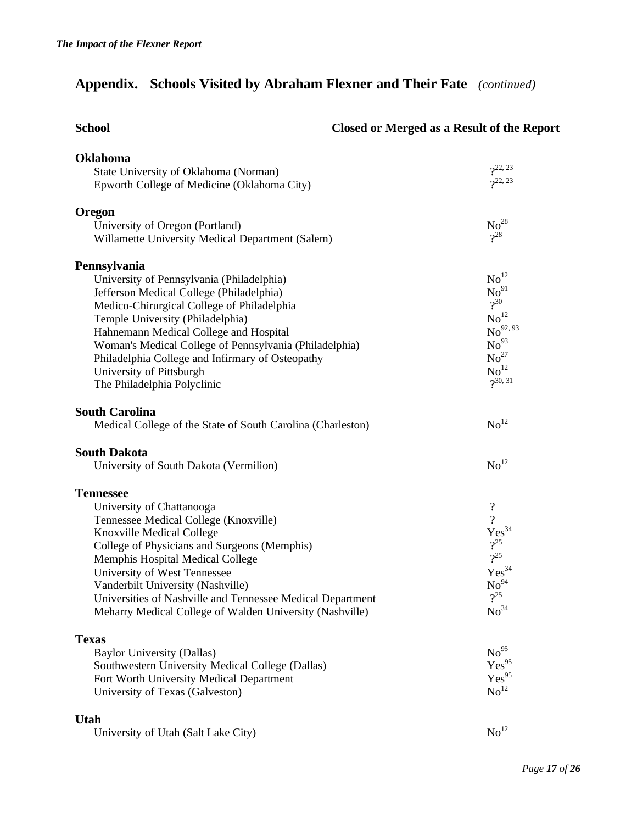| D. | ichool |  |
|----|--------|--|
|    |        |  |

### **School Closed or Merged as a Result of the Report**

| <b>Oklahoma</b>                                             |                            |
|-------------------------------------------------------------|----------------------------|
| State University of Oklahoma (Norman)                       | $2^{22, 23}$               |
| Epworth College of Medicine (Oklahoma City)                 | $2^{22, 23}$               |
| Oregon                                                      |                            |
| University of Oregon (Portland)                             | No <sup>28</sup>           |
| Willamette University Medical Department (Salem)            | $2^8$                      |
| Pennsylvania                                                |                            |
| University of Pennsylvania (Philadelphia)                   | $\mathrm{No}^{12}$         |
| Jefferson Medical College (Philadelphia)                    | No <sup>91</sup>           |
| Medico-Chirurgical College of Philadelphia                  | $2^{30}$                   |
| Temple University (Philadelphia)                            | $\mathrm{No}^{12}$         |
| Hahnemann Medical College and Hospital                      | $\mathrm{No}^{92,\,93}$    |
| Woman's Medical College of Pennsylvania (Philadelphia)      | No <sup>93</sup>           |
| Philadelphia College and Infirmary of Osteopathy            | No <sup>27</sup>           |
| University of Pittsburgh                                    | $\mathrm{No}^{12}$         |
| The Philadelphia Polyclinic                                 | $2^{30, 31}$               |
| <b>South Carolina</b>                                       |                            |
| Medical College of the State of South Carolina (Charleston) | $\mathrm{No}^{12}$         |
| <b>South Dakota</b>                                         |                            |
| University of South Dakota (Vermilion)                      | $\mathrm{No}^{12}$         |
| <b>Tennessee</b>                                            |                            |
| University of Chattanooga                                   | $\boldsymbol{\mathcal{P}}$ |
| Tennessee Medical College (Knoxville)                       | $\overline{?}$             |
| <b>Knoxville Medical College</b>                            | $Yes^{34}$                 |
| College of Physicians and Surgeons (Memphis)                | $\frac{2^{25}}{2^{25}}$    |
| Memphis Hospital Medical College                            |                            |
| University of West Tennessee                                | $Yes^{34}$                 |
| Vanderbilt University (Nashville)                           | $\mathrm{No}^{94}$         |
| Universities of Nashville and Tennessee Medical Department  | $\gamma^{25}$              |
| Meharry Medical College of Walden University (Nashville)    | No <sup>34</sup>           |
| <b>Texas</b>                                                |                            |
| <b>Baylor University (Dallas)</b>                           | $No^{95}$                  |
| Southwestern University Medical College (Dallas)            | $Yes^{95}$                 |
| Fort Worth University Medical Department                    | $Yes^{95}$                 |
| University of Texas (Galveston)                             | $\mathrm{No}^{12}$         |
| Utah                                                        |                            |
| University of Utah (Salt Lake City)                         | No <sup>12</sup>           |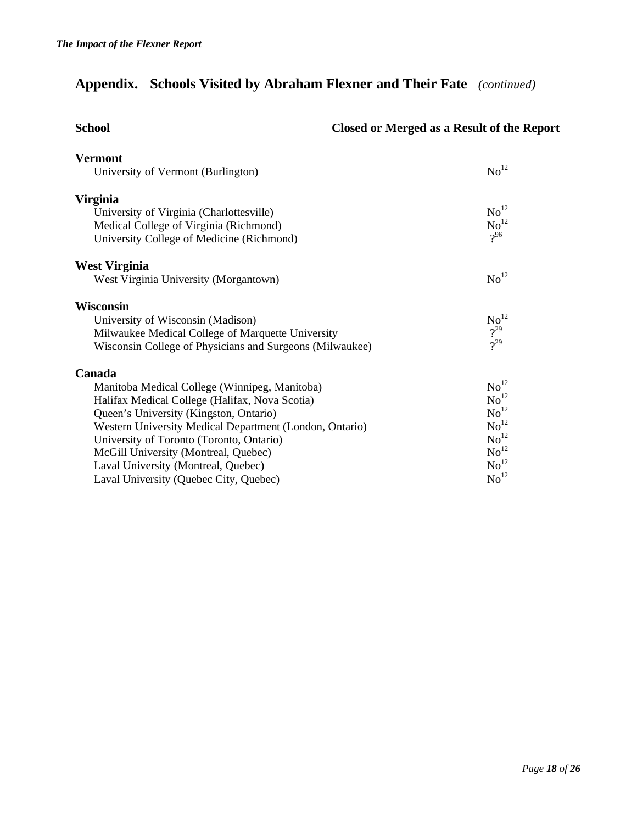| <b>School</b>                                            | <b>Closed or Merged as a Result of the Report</b> |
|----------------------------------------------------------|---------------------------------------------------|
| <b>Vermont</b>                                           |                                                   |
| University of Vermont (Burlington)                       | $\mathrm{No}^{12}$                                |
| <b>Virginia</b>                                          |                                                   |
| University of Virginia (Charlottesville)                 | $\mathrm{No}^{12}$                                |
| Medical College of Virginia (Richmond)                   | $\mathrm{No}^{12}$                                |
| University College of Medicine (Richmond)                | 296                                               |
| <b>West Virginia</b>                                     |                                                   |
| West Virginia University (Morgantown)                    | $\mathrm{No}^{12}$                                |
| <b>Wisconsin</b>                                         |                                                   |
| University of Wisconsin (Madison)                        | No <sup>12</sup>                                  |
| Milwaukee Medical College of Marquette University        | $2^{29}$                                          |
| Wisconsin College of Physicians and Surgeons (Milwaukee) | $2^{29}$                                          |
| Canada                                                   |                                                   |
| Manitoba Medical College (Winnipeg, Manitoba)            | $\mathrm{No}^{12}$                                |
| Halifax Medical College (Halifax, Nova Scotia)           | $\mathrm{No}^{12}$                                |
| Queen's University (Kingston, Ontario)                   | $\mathrm{No}^{12}$                                |
| Western University Medical Department (London, Ontario)  | $\mathrm{No}^{12}$                                |
| University of Toronto (Toronto, Ontario)                 | $\mathrm{No}^{12}$                                |
| McGill University (Montreal, Quebec)                     | $\mathrm{No}^{12}$                                |
| Laval University (Montreal, Quebec)                      | $\mathrm{No}^{12}$                                |
| Laval University (Quebec City, Quebec)                   | $\mathrm{No}^{12}$                                |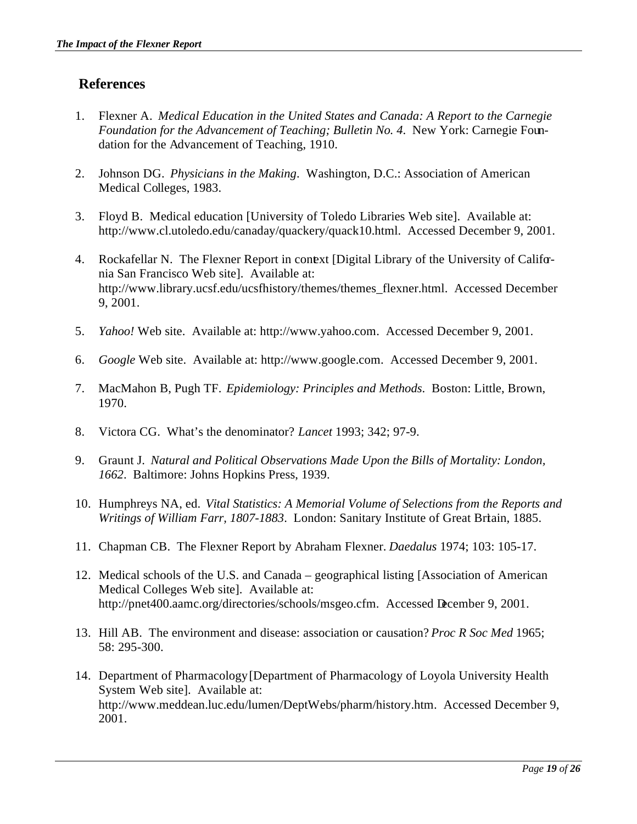### **References**

- 1. Flexner A. *Medical Education in the United States and Canada: A Report to the Carnegie Foundation for the Advancement of Teaching; Bulletin No. 4*. New York: Carnegie Foundation for the Advancement of Teaching, 1910.
- 2. Johnson DG. *Physicians in the Making*. Washington, D.C.: Association of American Medical Colleges, 1983.
- 3. Floyd B. Medical education [University of Toledo Libraries Web site]. Available at: http://www.cl.utoledo.edu/canaday/quackery/quack10.html. Accessed December 9, 2001.
- 4. Rockafellar N. The Flexner Report in conext [Digital Library of the University of Califonia San Francisco Web site]. Available at: http://www.library.ucsf.edu/ucsfhistory/themes/themes\_flexner.html. Accessed December 9, 2001.
- 5. *Yahoo!* Web site. Available at: http://www.yahoo.com. Accessed December 9, 2001.
- 6. *Google* Web site. Available at: http://www.google.com. Accessed December 9, 2001.
- 7. MacMahon B, Pugh TF. *Epidemiology: Principles and Methods*. Boston: Little, Brown, 1970.
- 8. Victora CG. What's the denominator? *Lancet* 1993; 342; 97-9.
- 9. Graunt J. *Natural and Political Observations Made Upon the Bills of Mortality: London, 1662*. Baltimore: Johns Hopkins Press, 1939.
- 10. Humphreys NA, ed. *Vital Statistics: A Memorial Volume of Selections from the Reports and Writings of William Farr, 1807-1883*. London: Sanitary Institute of Great Britain, 1885.
- 11. Chapman CB. The Flexner Report by Abraham Flexner. *Daedalus* 1974; 103: 105-17.
- 12. Medical schools of the U.S. and Canada geographical listing [Association of American Medical Colleges Web site]. Available at: http://pnet400.aamc.org/directories/schools/msgeo.cfm. Accessed December 9, 2001.
- 13. Hill AB. The environment and disease: association or causation? *Proc R Soc Med* 1965; 58: 295-300.
- 14. Department of Pharmacology [Department of Pharmacology of Loyola University Health System Web site]. Available at: http://www.meddean.luc.edu/lumen/DeptWebs/pharm/history.htm. Accessed December 9, 2001.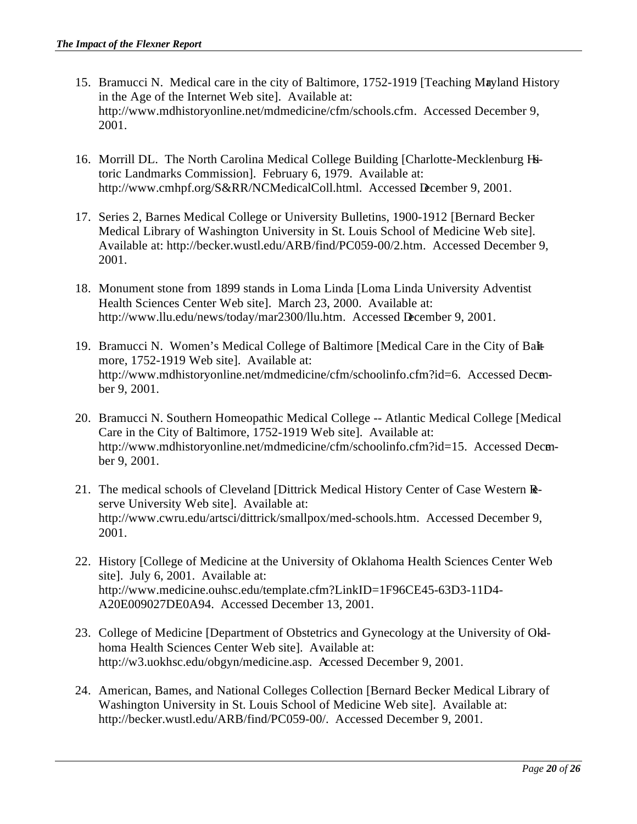- 15. Bramucci N. Medical care in the city of Baltimore, 1752-1919 [Teaching Mayland History in the Age of the Internet Web site]. Available at: http://www.mdhistoryonline.net/mdmedicine/cfm/schools.cfm. Accessed December 9, 2001.
- 16. Morrill DL. The North Carolina Medical College Building [Charlotte-Mecklenburg Historic Landmarks Commission]. February 6, 1979. Available at: http://www.cmhpf.org/S&RR/NCMedicalColl.html. Accessed December 9, 2001.
- 17. Series 2, Barnes Medical College or University Bulletins, 1900-1912 [Bernard Becker Medical Library of Washington University in St. Louis School of Medicine Web site]. Available at: http://becker.wustl.edu/ARB/find/PC059-00/2.htm. Accessed December 9, 2001.
- 18. Monument stone from 1899 stands in Loma Linda [Loma Linda University Adventist Health Sciences Center Web site]. March 23, 2000. Available at: http://www.llu.edu/news/today/mar2300/llu.htm. Accessed December 9, 2001.
- 19. Bramucci N. Women's Medical College of Baltimore [Medical Care in the City of Baltimore, 1752-1919 Web site]. Available at: http://www.mdhistoryonline.net/mdmedicine/cfm/schoolinfo.cfm?id=6. Accessed December 9, 2001.
- 20. Bramucci N. Southern Homeopathic Medical College -- Atlantic Medical College [Medical Care in the City of Baltimore, 1752-1919 Web site]. Available at: http://www.mdhistoryonline.net/mdmedicine/cfm/schoolinfo.cfm?id=15. Accessed December 9, 2001.
- 21. The medical schools of Cleveland [Dittrick Medical History Center of Case Western Reserve University Web site]. Available at: http://www.cwru.edu/artsci/dittrick/smallpox/med-schools.htm. Accessed December 9, 2001.
- 22. History [College of Medicine at the University of Oklahoma Health Sciences Center Web site]. July 6, 2001. Available at: http://www.medicine.ouhsc.edu/template.cfm?LinkID=1F96CE45-63D3-11D4- A20E009027DE0A94. Accessed December 13, 2001.
- 23. College of Medicine [Department of Obstetrics and Gynecology at the University of Oklahoma Health Sciences Center Web site]. Available at: http://w3.uokhsc.edu/obgyn/medicine.asp. Accessed December 9, 2001.
- 24. American, Barnes, and National Colleges Collection [Bernard Becker Medical Library of Washington University in St. Louis School of Medicine Web site]. Available at: http://becker.wustl.edu/ARB/find/PC059-00/. Accessed December 9, 2001.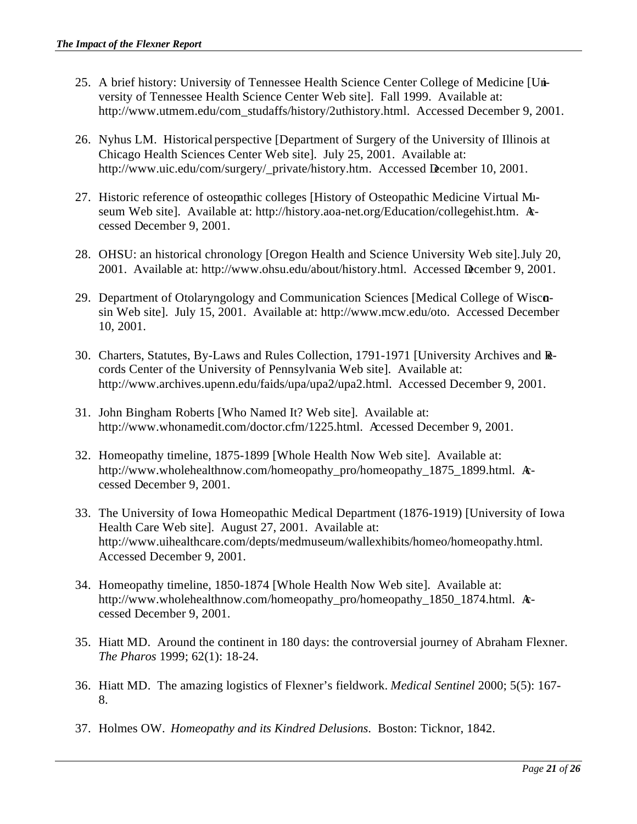- 25. A brief history: University of Tennessee Health Science Center College of Medicine [University of Tennessee Health Science Center Web site]. Fall 1999. Available at: http://www.utmem.edu/com\_studaffs/history/2uthistory.html. Accessed December 9, 2001.
- 26. Nyhus LM. Historical perspective [Department of Surgery of the University of Illinois at Chicago Health Sciences Center Web site]. July 25, 2001. Available at: http://www.uic.edu/com/surgery/\_private/history.htm. Accessed December 10, 2001.
- 27. Historic reference of osteopathic colleges [History of Osteopathic Medicine Virtual Museum Web site]. Available at: http://history.aoa-net.org/Education/collegehist.htm. Acessed December 9, 2001.
- 28. OHSU: an historical chronology [Oregon Health and Science University Web site]. July 20, 2001. Available at: http://www.ohsu.edu/about/history.html. Accessed December 9, 2001.
- 29. Department of Otolaryngology and Communication Sciences [Medical College of Wiscosin Web site]. July 15, 2001. Available at: http://www.mcw.edu/oto. Accessed December 10, 2001.
- 30. Charters, Statutes, By-Laws and Rules Collection, 1791-1971 [University Archives and Records Center of the University of Pennsylvania Web site]. Available at: http://www.archives.upenn.edu/faids/upa/upa2/upa2.html. Accessed December 9, 2001.
- 31. John Bingham Roberts [Who Named It? Web site]. Available at: http://www.whonamedit.com/doctor.cfm/1225.html. Accessed December 9, 2001.
- 32. Homeopathy timeline, 1875-1899 [Whole Health Now Web site]. Available at: http://www.wholehealthnow.com/homeopathy\_pro/homeopathy\_1875\_1899.html.  $A<sub>z</sub>$ cessed December 9, 2001.
- 33. The University of Iowa Homeopathic Medical Department (1876-1919) [University of Iowa Health Care Web site]. August 27, 2001. Available at: http://www.uihealthcare.com/depts/medmuseum/wallexhibits/homeo/homeopathy.html. Accessed December 9, 2001.
- 34. Homeopathy timeline, 1850-1874 [Whole Health Now Web site]. Available at: http://www.wholehealthnow.com/homeopathy\_pro/homeopathy\_1850\_1874.html.  $A<sub>z</sub>$ cessed December 9, 2001.
- 35. Hiatt MD. Around the continent in 180 days: the controversial journey of Abraham Flexner. *The Pharos* 1999; 62(1): 18-24.
- 36. Hiatt MD. The amazing logistics of Flexner's fieldwork. *Medical Sentinel* 2000; 5(5): 167- 8.
- 37. Holmes OW. *Homeopathy and its Kindred Delusions*. Boston: Ticknor, 1842.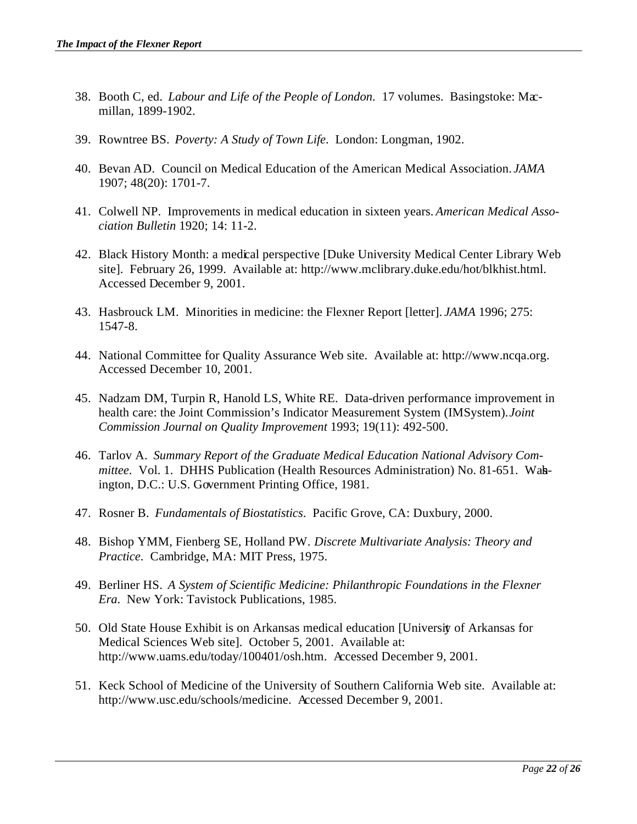- 38. Booth C, ed. *Labour and Life of the People of London*. 17 volumes. Basingstoke: Macmillan, 1899-1902.
- 39. Rowntree BS. *Poverty: A Study of Town Life*. London: Longman, 1902.
- 40. Bevan AD. Council on Medical Education of the American Medical Association. *JAMA* 1907; 48(20): 1701-7.
- 41. Colwell NP. Improvements in medical education in sixteen years. *American Medical Association Bulletin* 1920; 14: 11-2.
- 42. Black History Month: a medical perspective [Duke University Medical Center Library Web site]. February 26, 1999. Available at: http://www.mclibrary.duke.edu/hot/blkhist.html. Accessed December 9, 2001.
- 43. Hasbrouck LM. Minorities in medicine: the Flexner Report [letter]. *JAMA* 1996; 275: 1547-8.
- 44. National Committee for Quality Assurance Web site. Available at: http://www.ncqa.org. Accessed December 10, 2001.
- 45. Nadzam DM, Turpin R, Hanold LS, White RE. Data-driven performance improvement in health care: the Joint Commission's Indicator Measurement System (IMSystem). *Joint Commission Journal on Quality Improvement* 1993; 19(11): 492-500.
- 46. Tarlov A. *Summary Report of the Graduate Medical Education National Advisory Committee*. Vol. 1. DHHS Publication (Health Resources Administration) No. 81-651. Wahington, D.C.: U.S. Government Printing Office, 1981.
- 47. Rosner B. *Fundamentals of Biostatistics*. Pacific Grove, CA: Duxbury, 2000.
- 48. Bishop YMM, Fienberg SE, Holland PW. *Discrete Multivariate Analysis: Theory and Practice*. Cambridge, MA: MIT Press, 1975.
- 49. Berliner HS. *A System of Scientific Medicine: Philanthropic Foundations in the Flexner Era*. New York: Tavistock Publications, 1985.
- 50. Old State House Exhibit is on Arkansas medical education [University of Arkansas for Medical Sciences Web site]. October 5, 2001. Available at: http://www.uams.edu/today/100401/osh.htm. Accessed December 9, 2001.
- 51. Keck School of Medicine of the University of Southern California Web site. Available at: http://www.usc.edu/schools/medicine. Accessed December 9, 2001.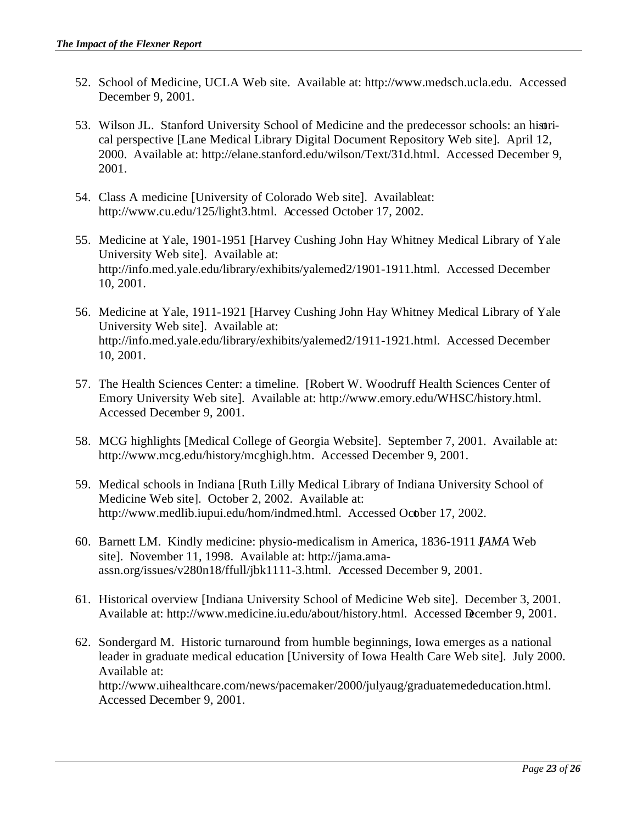- 52. School of Medicine, UCLA Web site. Available at: http://www.medsch.ucla.edu. Accessed December 9, 2001.
- 53. Wilson JL. Stanford University School of Medicine and the predecessor schools: an historical perspective [Lane Medical Library Digital Document Repository Web site]. April 12, 2000. Available at: http://elane.stanford.edu/wilson/Text/31d.html. Accessed December 9, 2001.
- 54. Class A medicine [University of Colorado Web site]. Availableat: http://www.cu.edu/125/light3.html. Accessed October 17, 2002.
- 55. Medicine at Yale, 1901-1951 [Harvey Cushing John Hay Whitney Medical Library of Yale University Web site]. Available at: http://info.med.yale.edu/library/exhibits/yalemed2/1901-1911.html. Accessed December 10, 2001.
- 56. Medicine at Yale, 1911-1921 [Harvey Cushing John Hay Whitney Medical Library of Yale University Web site]. Available at: http://info.med.yale.edu/library/exhibits/yalemed2/1911-1921.html. Accessed December 10, 2001.
- 57. The Health Sciences Center: a timeline. [Robert W. Woodruff Health Sciences Center of Emory University Web site]. Available at: http://www.emory.edu/WHSC/history.html. Accessed December 9, 2001.
- 58. MCG highlights [Medical College of Georgia Website]. September 7, 2001. Available at: http://www.mcg.edu/history/mcghigh.htm. Accessed December 9, 2001.
- 59. Medical schools in Indiana [Ruth Lilly Medical Library of Indiana University School of Medicine Web site]. October 2, 2002. Available at: http://www.medlib.iupui.edu/hom/indmed.html. Accessed October 17, 2002.
- 60. Barnett LM. Kindly medicine: physio-medicalism in America, 1836-1911 [*JAMA* Web site]. November 11, 1998. Available at: http://jama.amaassn.org/issues/v280n18/ffull/jbk1111-3.html. Accessed December 9, 2001.
- 61. Historical overview [Indiana University School of Medicine Web site]. December 3, 2001. Available at: http://www.medicine.iu.edu/about/history.html. Accessed December 9, 2001.
- 62. Sondergard M. Historic turnaround from humble beginnings, Iowa emerges as a national leader in graduate medical education [University of Iowa Health Care Web site]. July 2000. Available at: http://www.uihealthcare.com/news/pacemaker/2000/julyaug/graduatemededucation.html. Accessed December 9, 2001.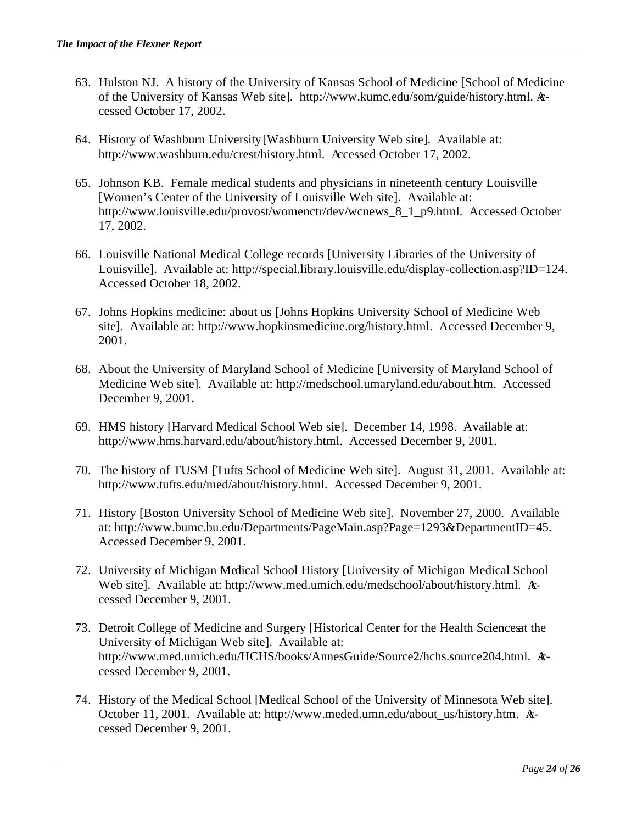- 63. Hulston NJ. A history of the University of Kansas School of Medicine [School of Medicine of the University of Kansas Web site]. http://www.kumc.edu/som/guide/history.html. Accessed October 17, 2002.
- 64. History of Washburn University [Washburn University Web site]. Available at: http://www.washburn.edu/crest/history.html. Accessed October 17, 2002.
- 65. Johnson KB. Female medical students and physicians in nineteenth century Louisville [Women's Center of the University of Louisville Web site]. Available at: http://www.louisville.edu/provost/womenctr/dev/wcnews\_8\_1\_p9.html. Accessed October 17, 2002.
- 66. Louisville National Medical College records [University Libraries of the University of Louisville]. Available at: http://special.library.louisville.edu/display-collection.asp?ID=124. Accessed October 18, 2002.
- 67. Johns Hopkins medicine: about us [Johns Hopkins University School of Medicine Web site]. Available at: http://www.hopkinsmedicine.org/history.html. Accessed December 9, 2001.
- 68. About the University of Maryland School of Medicine [University of Maryland School of Medicine Web site]. Available at: http://medschool.umaryland.edu/about.htm. Accessed December 9, 2001.
- 69. HMS history [Harvard Medical School Web site]. December 14, 1998. Available at: http://www.hms.harvard.edu/about/history.html. Accessed December 9, 2001.
- 70. The history of TUSM [Tufts School of Medicine Web site]. August 31, 2001. Available at: http://www.tufts.edu/med/about/history.html. Accessed December 9, 2001.
- 71. History [Boston University School of Medicine Web site]. November 27, 2000. Available at: http://www.bumc.bu.edu/Departments/PageMain.asp?Page=1293&DepartmentID=45. Accessed December 9, 2001.
- 72. University of Michigan Medical School History [University of Michigan Medical School Web site]. Available at: http://www.med.umich.edu/medschool/about/history.html.  $A$ cessed December 9, 2001.
- 73. Detroit College of Medicine and Surgery [Historical Center for the Health Sciences at the University of Michigan Web site]. Available at: http://www.med.umich.edu/HCHS/books/AnnesGuide/Source2/hchs.source204.html. Accessed December 9, 2001.
- 74. History of the Medical School [Medical School of the University of Minnesota Web site]. October 11, 2001. Available at: http://www.meded.umn.edu/about\_us/history.htm. Acessed December 9, 2001.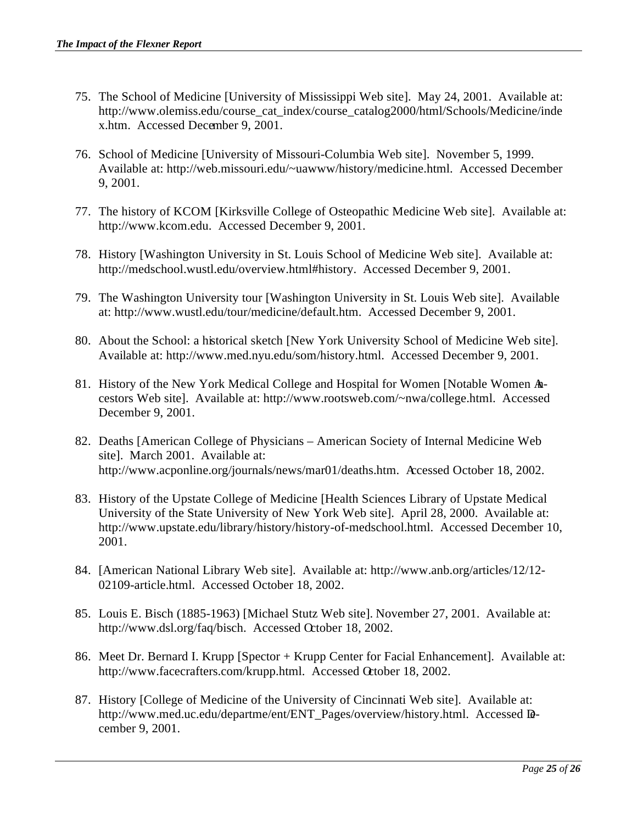- 75. The School of Medicine [University of Mississippi Web site]. May 24, 2001. Available at: http://www.olemiss.edu/course\_cat\_index/course\_catalog2000/html/Schools/Medicine/inde x.htm. Accessed December 9, 2001.
- 76. School of Medicine [University of Missouri-Columbia Web site]. November 5, 1999. Available at: http://web.missouri.edu/~uawww/history/medicine.html. Accessed December 9, 2001.
- 77. The history of KCOM [Kirksville College of Osteopathic Medicine Web site]. Available at: http://www.kcom.edu. Accessed December 9, 2001.
- 78. History [Washington University in St. Louis School of Medicine Web site]. Available at: http://medschool.wustl.edu/overview.html#history. Accessed December 9, 2001.
- 79. The Washington University tour [Washington University in St. Louis Web site]. Available at: http://www.wustl.edu/tour/medicine/default.htm. Accessed December 9, 2001.
- 80. About the School: a historical sketch [New York University School of Medicine Web site]. Available at: http://www.med.nyu.edu/som/history.html. Accessed December 9, 2001.
- 81. History of the New York Medical College and Hospital for Women [Notable Women Ancestors Web site]. Available at: http://www.rootsweb.com/~nwa/college.html. Accessed December 9, 2001.
- 82. Deaths [American College of Physicians American Society of Internal Medicine Web site]. March 2001. Available at: http://www.acponline.org/journals/news/mar01/deaths.htm. Accessed October 18, 2002.
- 83. History of the Upstate College of Medicine [Health Sciences Library of Upstate Medical University of the State University of New York Web site]. April 28, 2000. Available at: http://www.upstate.edu/library/history/history-of-medschool.html. Accessed December 10, 2001.
- 84. [American National Library Web site]. Available at: http://www.anb.org/articles/12/12- 02109-article.html. Accessed October 18, 2002.
- 85. Louis E. Bisch (1885-1963) [Michael Stutz Web site]. November 27, 2001. Available at: http://www.dsl.org/faq/bisch. Accessed October 18, 2002.
- 86. Meet Dr. Bernard I. Krupp [Spector + Krupp Center for Facial Enhancement]. Available at: http://www.facecrafters.com/krupp.html. Accessed Qtober 18, 2002.
- 87. History [College of Medicine of the University of Cincinnati Web site]. Available at: http://www.med.uc.edu/departme/ent/ENT\_Pages/overview/history.html. Accessed December 9, 2001.